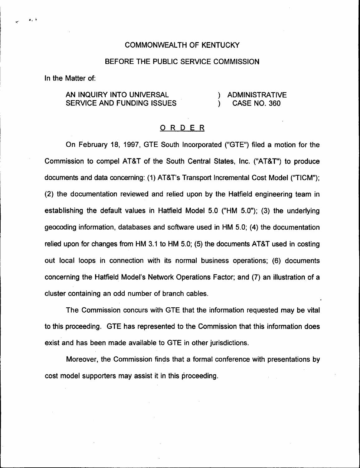## COMMONWEALTH OF KENTUCKY

## BEFORE THE PUBLIC SERVICE COMMISSION

In the Matter of:

 $\mathbf{A}$ 

AN INQUIRY INTO UNIVERSAL SERVICE AND FUNDING ISSUES ) ADMINISTRATIVE<br>) CASE NO. 360 ) CASE NO. 360

## ORDER

On February 18, 1997, GTE South Incorporated ("GTE") filed a motion for the Commission to compel AT8T of the South Central States, Inc. ("AT8T") to produce documents and data concerning: (1) AT8T's Transport Incremental Cost Model ("TICM"); (2) the documentation reviewed and relied upon by the Hatfield engineering team in establishing the default values in Hatfield Model 5.0 {"HM 5.0"); (3) the underlying geocoding information, databases and software used in HM 5.0; (4) the documentation relied upon for changes from HM 3.1 to HM 5.0; (5) the documents AT&T used in costing out local loops in connection with its normal business operations; (6) documents concerning the Hatfield Model's Network Operations Factor; and (7) an illustration of a cluster containing an odd number of branch cables.

The Commission concurs with GTE that the information requested may be vital to this proceeding. GTE has represented to the Commission that this information does exist and has been made available to GTE in other jurisdictions.

Moreover, the Commission finds that a formal conference with presentations by cost model supporters may assist it in this proceeding.